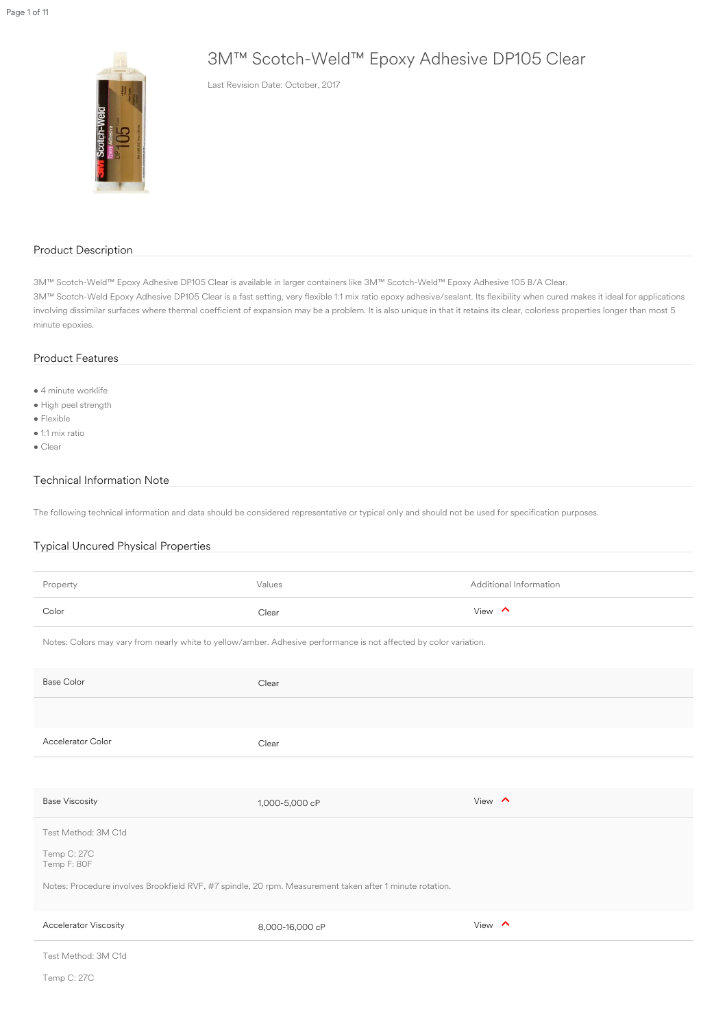# 3M™ Scotch-Weld™ Epoxy Adhesive DP105 Clear

Last Revision Date: October, 2017

#### Product Description

- 4 minute worklife
- High peel strength
- Flexible
- 1:1 mix ratio
- Clear

3M™ Scotch-Weld™ Epoxy Adhesive DP105 Clear is available in larger containers like 3M™ Scotch-Weld™ Epoxy Adhesive 105 B/A Clear. 3M™ Scotch-Weld Epoxy Adhesive DP105 Clear is a fast setting, very flexible 1:1 mix ratio epoxy adhesive/sealant. Its flexibility when cured makes it ideal for applications involving dissimilar surfaces where thermal coefficient of expansion may be a problem. It is also unique in that it retains its clear, colorless properties longer than most 5 minute epoxies.

#### Product Features

| Property                                                                                                           | Values                                                                                                   | Additional Information |  |
|--------------------------------------------------------------------------------------------------------------------|----------------------------------------------------------------------------------------------------------|------------------------|--|
| Color                                                                                                              | Clear                                                                                                    | View $\land$           |  |
| Notes: Colors may vary from nearly white to yellow/amber. Adhesive performance is not affected by color variation. |                                                                                                          |                        |  |
| <b>Base Color</b>                                                                                                  | Clear                                                                                                    |                        |  |
|                                                                                                                    |                                                                                                          |                        |  |
| <b>Accelerator Color</b>                                                                                           | Clear                                                                                                    |                        |  |
|                                                                                                                    |                                                                                                          |                        |  |
| <b>Base Viscosity</b>                                                                                              | 1,000-5,000 cP                                                                                           | View $\wedge$          |  |
| Test Method: 3M C1d                                                                                                |                                                                                                          |                        |  |
| Temp C: 27C<br>Temp F: 80F                                                                                         |                                                                                                          |                        |  |
|                                                                                                                    | Notes: Procedure involves Brookfield RVF, #7 spindle, 20 rpm. Measurement taken after 1 minute rotation. |                        |  |
| <b>Accelerator Viscosity</b>                                                                                       | 8,000-16,000 cP                                                                                          | View $\land$           |  |
| Test Method: 3M C1d                                                                                                |                                                                                                          |                        |  |
| Temp C: 27C                                                                                                        |                                                                                                          |                        |  |

#### Technical Information Note

The following technical information and data should be considered representative or typical only and should not be used for specification purposes.

### Typical Uncured Physical Properties

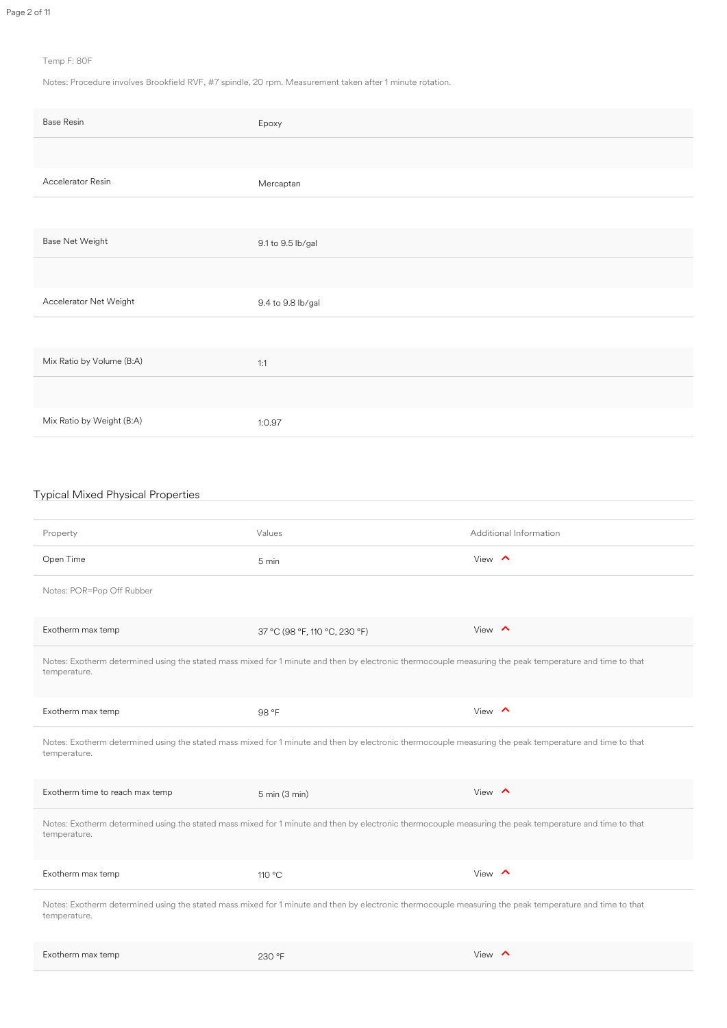#### Temp F: 80F

Notes: Procedure involves Brookfield RVF, #7 spindle, 20 rpm. Measurement taken after 1 minute rotation.

| <b>Base Resin</b>         | Epoxy             |
|---------------------------|-------------------|
|                           |                   |
| Accelerator Resin         | Mercaptan         |
|                           |                   |
| <b>Base Net Weight</b>    | 9.1 to 9.5 lb/gal |
|                           |                   |
| Accelerator Net Weight    | 9.4 to 9.8 lb/gal |
|                           |                   |
| Mix Ratio by Volume (B:A) | 1:1               |
|                           |                   |
| Mix Ratio by Weight (B:A) | 1:0.97            |
|                           |                   |

## Typical Mixed Physical Properties

Property **Additional Information** Values **Additional Information** 

| Open Time                       | 5 min                                                                                                                                                   | View $\land$  |
|---------------------------------|---------------------------------------------------------------------------------------------------------------------------------------------------------|---------------|
| Notes: POR=Pop Off Rubber       |                                                                                                                                                         |               |
| Exotherm max temp               | 37 °C (98 °F, 110 °C, 230 °F)                                                                                                                           | View $\wedge$ |
| temperature.                    | Notes: Exotherm determined using the stated mass mixed for 1 minute and then by electronic thermocouple measuring the peak temperature and time to that |               |
| Exotherm max temp               | 98 °F                                                                                                                                                   | View $\land$  |
| temperature.                    | Notes: Exotherm determined using the stated mass mixed for 1 minute and then by electronic thermocouple measuring the peak temperature and time to that |               |
| Exotherm time to reach max temp | $5 \text{ min} (3 \text{ min})$                                                                                                                         | View $\land$  |
| temperature.                    | Notes: Exotherm determined using the stated mass mixed for 1 minute and then by electronic thermocouple measuring the peak temperature and time to that |               |
| Exotherm max temp               | 110 °C                                                                                                                                                  | View $\land$  |
| temperature.                    | Notes: Exotherm determined using the stated mass mixed for 1 minute and then by electronic thermocouple measuring the peak temperature and time to that |               |
| Exotherm max temp               | 230 °F                                                                                                                                                  | View $\land$  |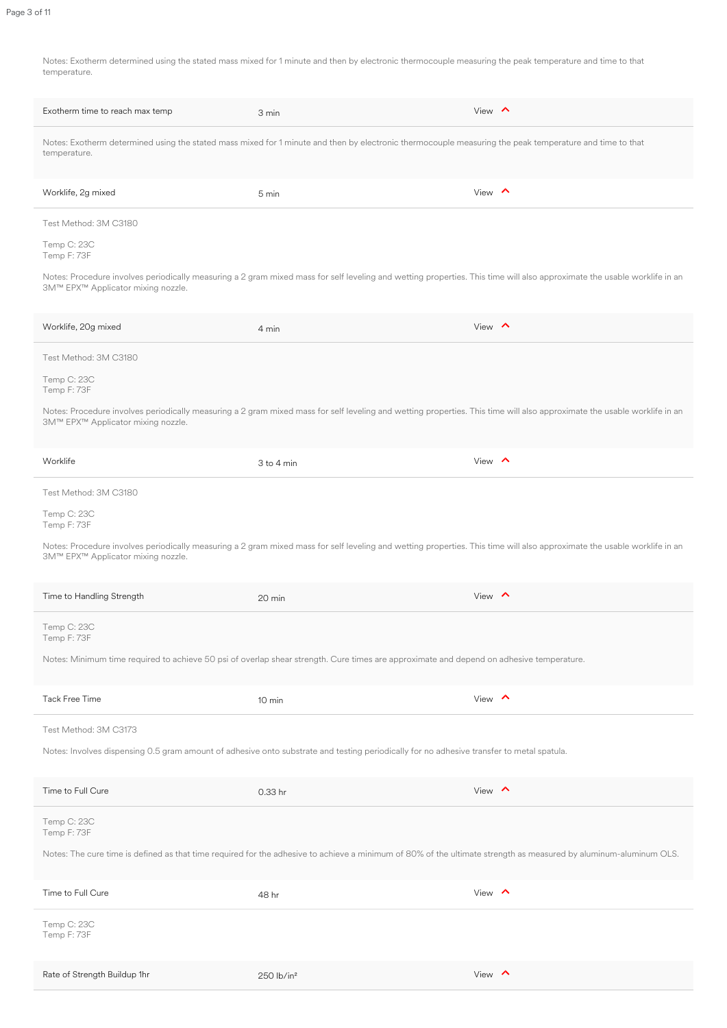Notes: Exotherm determined using the stated mass mixed for 1 minute and then by electronic thermocouple measuring the peak temperature and time to that temperature.

| Exotherm time to reach max temp    | 3 min                                                                                                                                                                    | View $\land$  |
|------------------------------------|--------------------------------------------------------------------------------------------------------------------------------------------------------------------------|---------------|
| temperature.                       | Notes: Exotherm determined using the stated mass mixed for 1 minute and then by electronic thermocouple measuring the peak temperature and time to that                  |               |
| Worklife, 2g mixed                 | 5 min                                                                                                                                                                    | View $\land$  |
| Test Method: 3M C3180              |                                                                                                                                                                          |               |
| Temp C: 23C<br>Temp F: 73F         |                                                                                                                                                                          |               |
| 3M™ EPX™ Applicator mixing nozzle. | Notes: Procedure involves periodically measuring a 2 gram mixed mass for self leveling and wetting properties. This time will also approximate the usable worklife in an |               |
| Worklife, 20g mixed                | 4 min                                                                                                                                                                    | View $\wedge$ |
| Test Method: 3M C3180              |                                                                                                                                                                          |               |
| Temp C: 23C<br>Temp F: 73F         |                                                                                                                                                                          |               |
| 3M™ EPX™ Applicator mixing nozzle. | Notes: Procedure involves periodically measuring a 2 gram mixed mass for self leveling and wetting properties. This time will also approximate the usable worklife in an |               |
| Worklife                           | $3$ to $4$ min                                                                                                                                                           | View $\land$  |
| Test Method: 3M C3180              |                                                                                                                                                                          |               |
| Temp C: 23C<br>Temp F: 73F         |                                                                                                                                                                          |               |

Notes: Procedure involves periodically measuring a 2 gram mixed mass for self leveling and wetting properties. This time will also approximate the usable worklife in an

3M™ EPX™ Applicator mixing nozzle.

| Time to Handling Strength    | 20 min                                                                                                                                                            | View $\land$ |
|------------------------------|-------------------------------------------------------------------------------------------------------------------------------------------------------------------|--------------|
| Temp C: 23C<br>Temp F: 73F   |                                                                                                                                                                   |              |
|                              | Notes: Minimum time required to achieve 50 psi of overlap shear strength. Cure times are approximate and depend on adhesive temperature.                          |              |
| <b>Tack Free Time</b>        | 10 min                                                                                                                                                            | View $\land$ |
| Test Method: 3M C3173        |                                                                                                                                                                   |              |
|                              | Notes: Involves dispensing 0.5 gram amount of adhesive onto substrate and testing periodically for no adhesive transfer to metal spatula.                         |              |
| Time to Full Cure            | 0.33 hr                                                                                                                                                           | View $\land$ |
| Temp C: 23C<br>Temp F: 73F   |                                                                                                                                                                   |              |
|                              | Notes: The cure time is defined as that time required for the adhesive to achieve a minimum of 80% of the ultimate strength as measured by aluminum-aluminum OLS. |              |
| Time to Full Cure            | 48 hr                                                                                                                                                             | View $\land$ |
| Temp C: 23C<br>Temp F: 73F   |                                                                                                                                                                   |              |
| Rate of Strength Buildup 1hr | $250$ lb/in <sup>2</sup>                                                                                                                                          | View $\land$ |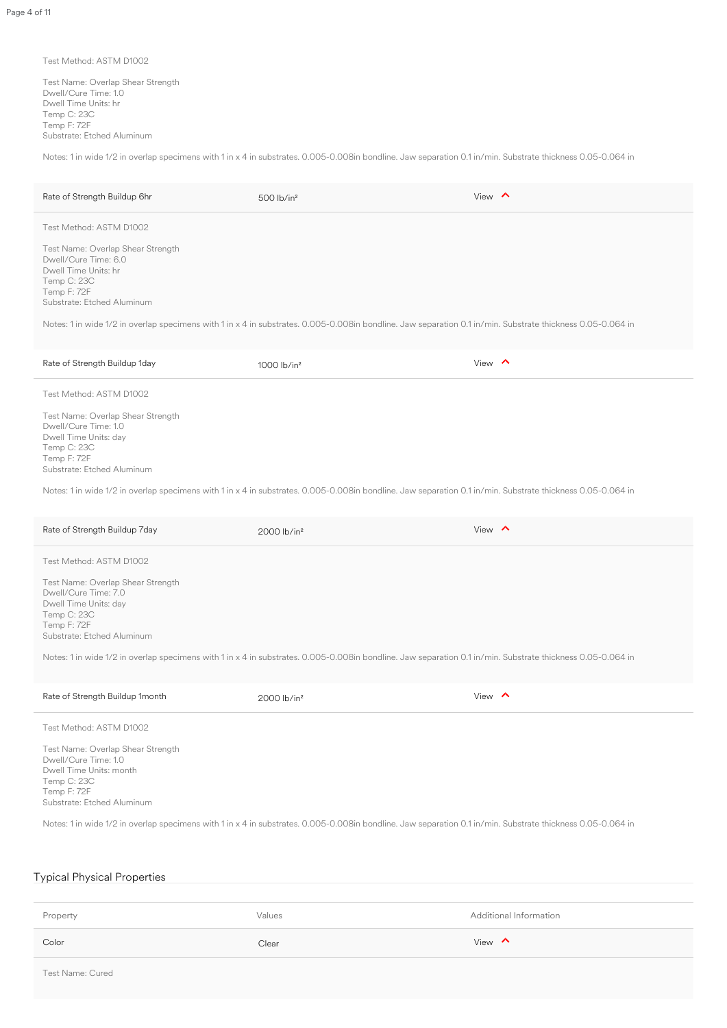#### Test Method: ASTM D1002

Test Name: Overlap Shear Strength Dwell/Cure Time: 1.0 Dwell Time Units: hr Temp C: 23C Temp F: 72F Substrate: Etched Aluminum

Notes: 1 in wide 1/2 in overlap specimens with 1 in x 4 in substrates. 0.005-0.008in bondline. Jaw separation 0.1 in/min. Substrate thickness 0.05-0.064 in

| Rate of Strength Buildup 6hr                                                                                                                   | $500$ lb/in <sup>2</sup>                                                                                                                                    | View $\land$ |
|------------------------------------------------------------------------------------------------------------------------------------------------|-------------------------------------------------------------------------------------------------------------------------------------------------------------|--------------|
| Test Method: ASTM D1002                                                                                                                        |                                                                                                                                                             |              |
| Test Name: Overlap Shear Strength<br>Dwell/Cure Time: 6.0<br>Dwell Time Units: hr<br>Temp C: 23C<br>Temp F: 72F<br>Substrate: Etched Aluminum  | Notes: 1 in wide 1/2 in overlap specimens with 1 in x 4 in substrates. 0.005-0.008in bondline. Jaw separation 0.1 in/min. Substrate thickness 0.05-0.064 in |              |
|                                                                                                                                                |                                                                                                                                                             |              |
| Rate of Strength Buildup 1day                                                                                                                  | $1000$ lb/in <sup>2</sup>                                                                                                                                   | View $\land$ |
| Test Method: ASTM D1002                                                                                                                        |                                                                                                                                                             |              |
| Test Name: Overlap Shear Strength<br>Dwell/Cure Time: 1.0<br>Dwell Time Units: day<br>Temp C: 23C<br>Temp F: 72F<br>Substrate: Etched Aluminum |                                                                                                                                                             |              |

Rate of Strength Buildup 7day  $2000$  lb/in<sup>2</sup>  $\sim$ 

| Rate of Strength Buildup 1month                                                                                                                  | $2000$ lb/in <sup>2</sup> | View $\wedge$ |
|--------------------------------------------------------------------------------------------------------------------------------------------------|---------------------------|---------------|
| Test Method: ASTM D1002                                                                                                                          |                           |               |
| Test Name: Overlap Shear Strength<br>Dwell/Cure Time: 1.0<br>Dwell Time Units: month<br>Temp C: 23C<br>Temp F: 72F<br>Substrate: Etched Aluminum |                           |               |

#### Test Method: ASTM D1002

Test Name: Overlap Shear Strength Dwell/Cure Time: 7.0 Dwell Time Units: day Temp C: 23C Temp F: 72F Substrate: Etched Aluminum

Notes: 1 in wide 1/2 in overlap specimens with 1 in x 4 in substrates. 0.005-0.008in bondline. Jaw separation 0.1 in/min. Substrate thickness 0.05-0.064 in

Notes: 1 in wide 1/2 in overlap specimens with 1 in x 4 in substrates. 0.005-0.008in bondline. Jaw separation 0.1 in/min. Substrate thickness 0.05-0.064 in

# Typical Physical Properties

| Property                | Values | Additional Information |
|-------------------------|--------|------------------------|
| Color                   | Clear  | View $\land$           |
| <b>Test Name: Cured</b> |        |                        |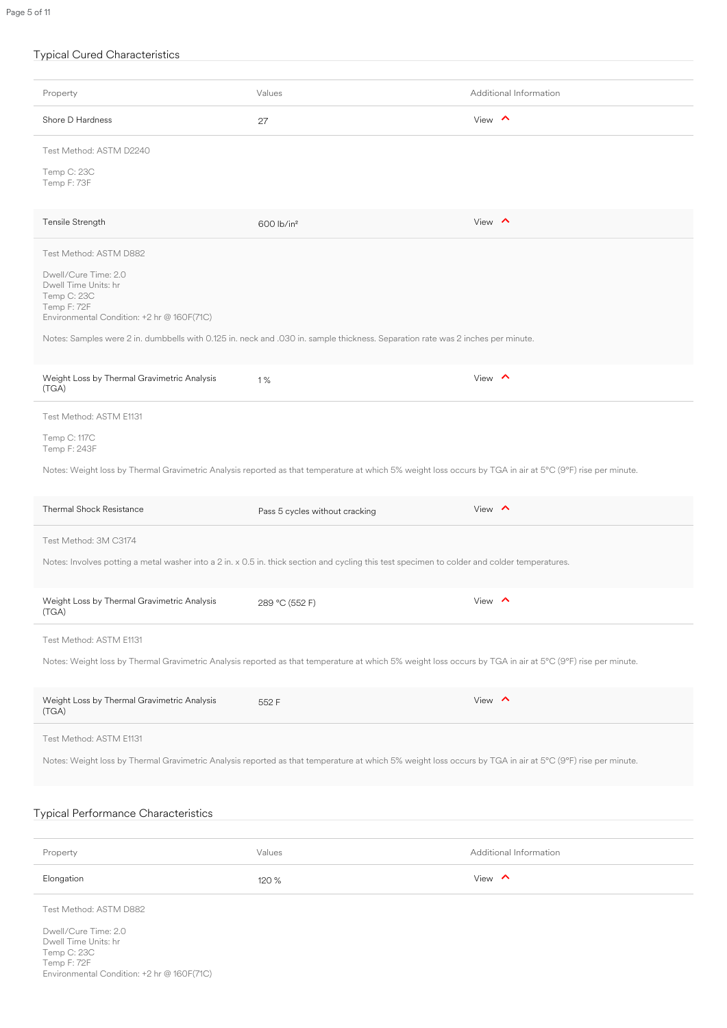## Typical Cured Characteristics

| Property                                                                                                                 | Values                                                                                                                                                     | Additional Information |
|--------------------------------------------------------------------------------------------------------------------------|------------------------------------------------------------------------------------------------------------------------------------------------------------|------------------------|
| Shore D Hardness                                                                                                         | 27                                                                                                                                                         | View $\sim$            |
| Test Method: ASTM D2240                                                                                                  |                                                                                                                                                            |                        |
| Temp C: 23C<br>Temp F: 73F                                                                                               |                                                                                                                                                            |                        |
| Tensile Strength                                                                                                         | 600 lb/in <sup>2</sup>                                                                                                                                     | View $\land$           |
| Test Method: ASTM D882                                                                                                   |                                                                                                                                                            |                        |
| Dwell/Cure Time: 2.0<br>Dwell Time Units: hr<br>Temp C: 23C<br>Temp F: 72F<br>Environmental Condition: +2 hr @ 160F(71C) |                                                                                                                                                            |                        |
|                                                                                                                          | Notes: Samples were 2 in. dumbbells with 0.125 in. neck and .030 in. sample thickness. Separation rate was 2 inches per minute.                            |                        |
| Weight Loss by Thermal Gravimetric Analysis<br>(TGA)                                                                     | $1\%$                                                                                                                                                      | View $\land$           |
| Test Method: ASTM E1131                                                                                                  |                                                                                                                                                            |                        |
| Temp C: 117C<br>Temp F: 243F                                                                                             |                                                                                                                                                            |                        |
|                                                                                                                          | Notes: Weight loss by Thermal Gravimetric Analysis reported as that temperature at which 5% weight loss occurs by TGA in air at 5°C (9°F) rise per minute. |                        |
| <b>Thermal Shock Resistance</b>                                                                                          | Pass 5 cycles without cracking                                                                                                                             | View $\land$           |
| Test Method: 3M C3174                                                                                                    |                                                                                                                                                            |                        |

Notes: Involves potting a metal washer into a 2 in. x 0.5 in. thick section and cycling this test specimen to colder and colder temperatures.

| Weight Loss by Thermal Gravimetric Analysis<br>(TGA) | 289 °C (552 F) | View $\land$                                                                                                                                               |  |
|------------------------------------------------------|----------------|------------------------------------------------------------------------------------------------------------------------------------------------------------|--|
| Test Method: ASTM E1131                              |                |                                                                                                                                                            |  |
|                                                      |                | Notes: Weight loss by Thermal Gravimetric Analysis reported as that temperature at which 5% weight loss occurs by TGA in air at 5°C (9°F) rise per minute. |  |
| Weight Loss by Thermal Gravimetric Analysis<br>(TGA) | 552 F          | View $\land$                                                                                                                                               |  |
| Test Method: ASTM E1131                              |                |                                                                                                                                                            |  |
|                                                      |                | Notes: Weight loss by Thermal Gravimetric Analysis reported as that temperature at which 5% weight loss occurs by TGA in air at 5°C (9°F) rise per minute. |  |
|                                                      |                |                                                                                                                                                            |  |
| <b>Typical Performance Characteristics</b>           |                |                                                                                                                                                            |  |
|                                                      |                |                                                                                                                                                            |  |
|                                                      |                |                                                                                                                                                            |  |
| Property                                             | Values         | Additional Information                                                                                                                                     |  |
| Elongation                                           | 120 %          | View $\land$                                                                                                                                               |  |
| Test Method: ASTM D882                               |                |                                                                                                                                                            |  |
| Dwell/Cure Time: 2.0                                 |                |                                                                                                                                                            |  |
| Dwell Time Units: hr<br>Temp C: 23C<br>Temp F: 72F   |                |                                                                                                                                                            |  |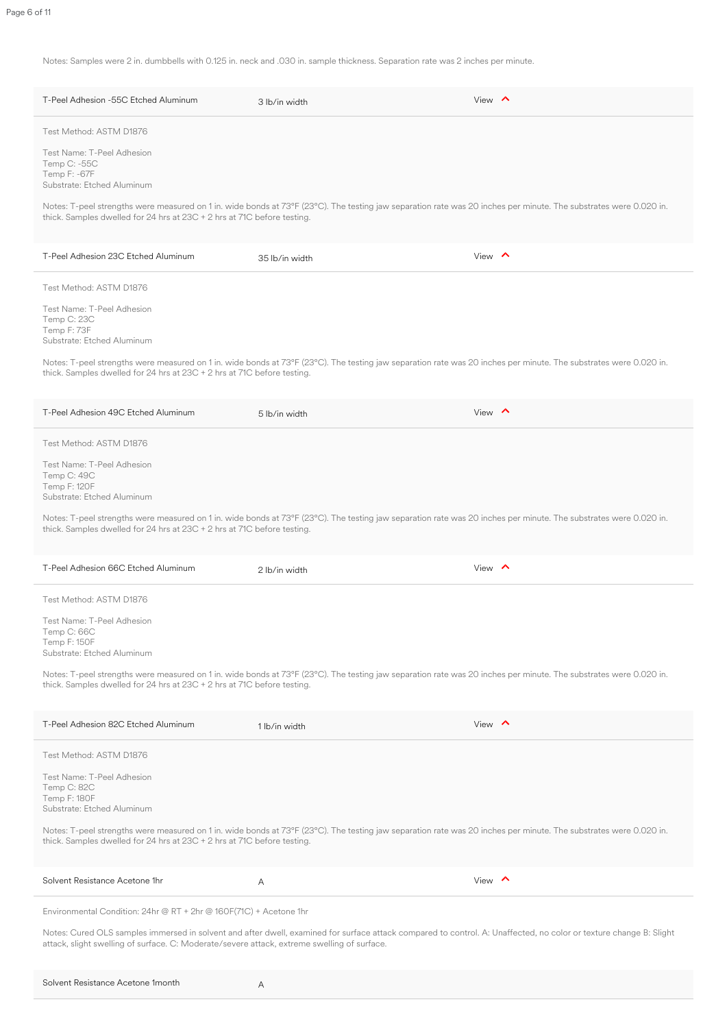Notes: Samples were 2 in. dumbbells with 0.125 in. neck and .030 in. sample thickness. Separation rate was 2 inches per minute.

| T-Peel Adhesion -55C Etched Aluminum                                                          | 3 lb/in width                                                                                                                                                     | View $\sim$   |
|-----------------------------------------------------------------------------------------------|-------------------------------------------------------------------------------------------------------------------------------------------------------------------|---------------|
| Test Method: ASTM D1876                                                                       |                                                                                                                                                                   |               |
| Test Name: T-Peel Adhesion<br>Temp C: -55C<br>Temp F: -67F<br>Substrate: Etched Aluminum      |                                                                                                                                                                   |               |
| thick. Samples dwelled for 24 hrs at $23C + 2$ hrs at 71C before testing.                     | Notes: T-peel strengths were measured on 1 in. wide bonds at 73°F (23°C). The testing jaw separation rate was 20 inches per minute. The substrates were 0.020 in. |               |
| T-Peel Adhesion 23C Etched Aluminum                                                           | 35 lb/in width                                                                                                                                                    | View $\land$  |
| Test Method: ASTM D1876                                                                       |                                                                                                                                                                   |               |
| <b>Test Name: T-Peel Adhesion</b><br>Temp C: 23C<br>Temp F: 73F<br>Substrate: Etched Aluminum |                                                                                                                                                                   |               |
| thick. Samples dwelled for 24 hrs at $23C + 2$ hrs at 71C before testing.                     | Notes: T-peel strengths were measured on 1 in. wide bonds at 73°F (23°C). The testing jaw separation rate was 20 inches per minute. The substrates were 0.020 in. |               |
| T-Peel Adhesion 49C Etched Aluminum                                                           | 5 lb/in width                                                                                                                                                     | View $\wedge$ |
| Test Method: ASTM D1876                                                                       |                                                                                                                                                                   |               |
| Test Name: T-Peel Adhesion<br>Temp C: 49C<br>Temp F: 120F<br>Substrate: Etched Aluminum       |                                                                                                                                                                   |               |
| thick. Samples dwelled for 24 hrs at $23C + 2$ hrs at 71C before testing.                     | Notes: T-peel strengths were measured on 1 in. wide bonds at 73°F (23°C). The testing jaw separation rate was 20 inches per minute. The substrates were 0.020 in. |               |

| T-Peel Adhesion 66C Etched Aluminum                                                            | 2 lb/in width                                                                                                                                                      | View $\land$  |
|------------------------------------------------------------------------------------------------|--------------------------------------------------------------------------------------------------------------------------------------------------------------------|---------------|
| Test Method: ASTM D1876                                                                        |                                                                                                                                                                    |               |
| <b>Test Name: T-Peel Adhesion</b><br>Temp C: 66C<br>Temp F: 150F<br>Substrate: Etched Aluminum |                                                                                                                                                                    |               |
| thick. Samples dwelled for 24 hrs at $23C + 2$ hrs at 71C before testing.                      | Notes: T-peel strengths were measured on 1 in. wide bonds at 73°F (23°C). The testing jaw separation rate was 20 inches per minute. The substrates were 0.020 in.  |               |
| T-Peel Adhesion 82C Etched Aluminum                                                            | 1 lb/in width                                                                                                                                                      | View $\wedge$ |
| Test Method: ASTM D1876                                                                        |                                                                                                                                                                    |               |
| Test Name: T-Peel Adhesion<br>Temp C: 82C<br>Temp F: 180F<br>Substrate: Etched Aluminum        |                                                                                                                                                                    |               |
| thick. Samples dwelled for 24 hrs at $23C + 2$ hrs at 71C before testing.                      | Notes: T-peel strengths were measured on 1 in. wide bonds at 73°F (23°C). The testing jaw separation rate was 20 inches per minute. The substrates were 0.020 in.  |               |
| Solvent Resistance Acetone 1hr                                                                 | A                                                                                                                                                                  | View $\wedge$ |
| Environmental Condition: 24hr @ RT + 2hr @ 160F(71C) + Acetone 1hr                             |                                                                                                                                                                    |               |
| attack, slight swelling of surface. C: Moderate/severe attack, extreme swelling of surface.    | Notes: Cured OLS samples immersed in solvent and after dwell, examined for surface attack compared to control. A: Unaffected, no color or texture change B: Slight |               |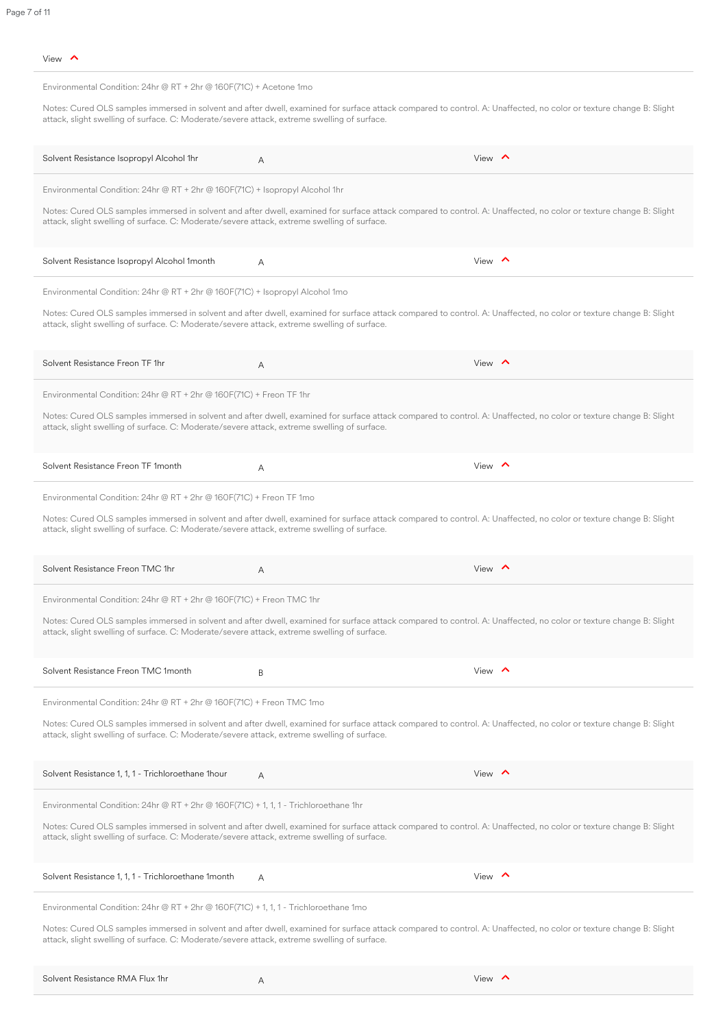| View |  |
|------|--|
|------|--|

| Environmental Condition: 24hr $\textcircled{e}$ RT + 2hr $\textcircled{e}$ 160F(71C) + Acetone 1mo |   |                                                                                                                                                                    |
|----------------------------------------------------------------------------------------------------|---|--------------------------------------------------------------------------------------------------------------------------------------------------------------------|
| attack, slight swelling of surface. C: Moderate/severe attack, extreme swelling of surface.        |   | Notes: Cured OLS samples immersed in solvent and after dwell, examined for surface attack compared to control. A: Unaffected, no color or texture change B: Slight |
| Solvent Resistance Isopropyl Alcohol 1hr                                                           | A | View $\leftarrow$                                                                                                                                                  |
| Environmental Condition: 24hr @ $RT + 2$ hr @ 160F(71C) + Isopropyl Alcohol 1hr                    |   |                                                                                                                                                                    |
| attack, slight swelling of surface. C: Moderate/severe attack, extreme swelling of surface.        |   | Notes: Cured OLS samples immersed in solvent and after dwell, examined for surface attack compared to control. A: Unaffected, no color or texture change B: Slight |
| Solvent Resistance Isopropyl Alcohol 1month                                                        | A | View $\leftarrow$                                                                                                                                                  |
| Environmental Condition: 24hr @ RT + 2hr @ 160F(71C) + Isopropyl Alcohol 1mo                       |   |                                                                                                                                                                    |
| attack, slight swelling of surface. C: Moderate/severe attack, extreme swelling of surface.        |   | Notes: Cured OLS samples immersed in solvent and after dwell, examined for surface attack compared to control. A: Unaffected, no color or texture change B: Slight |
| Solvent Resistance Freon TF 1hr                                                                    | A | View $\land$                                                                                                                                                       |
| Environmental Condition: 24hr @ $RT + 2$ hr @ 160F(71C) + Freon TF 1hr                             |   |                                                                                                                                                                    |
| attack, slight swelling of surface. C: Moderate/severe attack, extreme swelling of surface.        |   | Notes: Cured OLS samples immersed in solvent and after dwell, examined for surface attack compared to control. A: Unaffected, no color or texture change B: Slight |
| Solvent Resistance Freon TF 1month                                                                 | A | View $\leftarrow$                                                                                                                                                  |
|                                                                                                    |   |                                                                                                                                                                    |

Environmental Condition: 24hr @ RT + 2hr @ 160F(71C) + Freon TF 1mo

Notes: Cured OLS samples immersed in solvent and after dwell, examined for surface attack compared to control. A: Unaffected, no color or texture change B: Slight attack, slight swelling of surface. C: Moderate/severe attack, extreme swelling of surface.

| Solvent Resistance Freon TMC 1hr                                                            | A                                                                                                                                                                  | View $\wedge$ |
|---------------------------------------------------------------------------------------------|--------------------------------------------------------------------------------------------------------------------------------------------------------------------|---------------|
| Environmental Condition: 24hr @ RT + 2hr @ 160F(71C) + Freon TMC 1hr                        |                                                                                                                                                                    |               |
| attack, slight swelling of surface. C: Moderate/severe attack, extreme swelling of surface. | Notes: Cured OLS samples immersed in solvent and after dwell, examined for surface attack compared to control. A: Unaffected, no color or texture change B: Slight |               |
| Solvent Resistance Freon TMC 1month                                                         | B                                                                                                                                                                  | View $\land$  |
| Environmental Condition: 24hr @ RT + 2hr @ 160F(71C) + Freon TMC 1mo                        |                                                                                                                                                                    |               |
| attack, slight swelling of surface. C: Moderate/severe attack, extreme swelling of surface. | Notes: Cured OLS samples immersed in solvent and after dwell, examined for surface attack compared to control. A: Unaffected, no color or texture change B: Slight |               |
| Solvent Resistance 1, 1, 1 - Trichloroethane 1 hour                                         | A                                                                                                                                                                  | View $\wedge$ |
| Environmental Condition: 24hr @ RT + 2hr @ 160F(71C) + 1, 1, 1 - Trichloroethane 1hr        |                                                                                                                                                                    |               |
| attack, slight swelling of surface. C: Moderate/severe attack, extreme swelling of surface. | Notes: Cured OLS samples immersed in solvent and after dwell, examined for surface attack compared to control. A: Unaffected, no color or texture change B: Slight |               |
| Solvent Resistance 1, 1, 1 - Trichloroethane 1 month                                        | A                                                                                                                                                                  | View $\land$  |
| Environmental Condition: 24hr @ RT + 2hr @ 160F(71C) + 1, 1, 1 - Trichloroethane 1mo        |                                                                                                                                                                    |               |
| attack, slight swelling of surface. C: Moderate/severe attack, extreme swelling of surface. | Notes: Cured OLS samples immersed in solvent and after dwell, examined for surface attack compared to control. A: Unaffected, no color or texture change B: Slight |               |
| Solvent Resistance RMA Flux 1hr                                                             | A                                                                                                                                                                  | View $\wedge$ |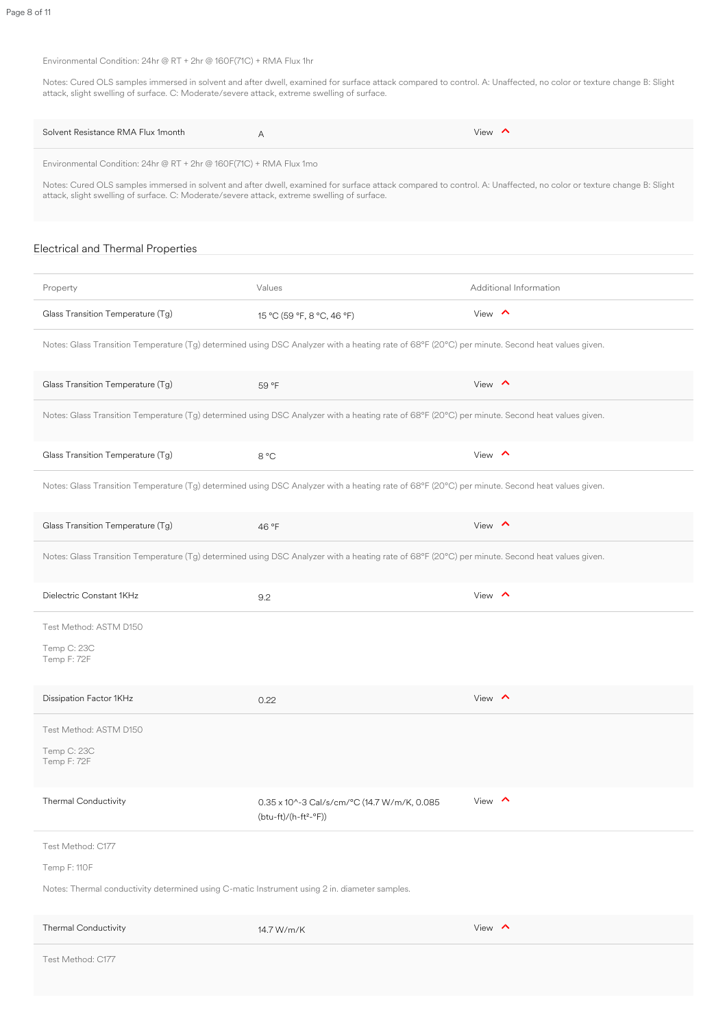#### Environmental Condition: 24hr @ RT + 2hr @ 160F(71C) + RMA Flux 1hr

Notes: Cured OLS samples immersed in solvent and after dwell, examined for surface attack compared to control. A: Unaffected, no color or texture change B: Slight attack, slight swelling of surface. C: Moderate/severe attack, extreme swelling of surface.

| Solvent Resistance RMA Flux 1 month                                                                                                                                                                                                                                                                                                         | A                                                                                                                                               | View $\land$           |  |  |
|---------------------------------------------------------------------------------------------------------------------------------------------------------------------------------------------------------------------------------------------------------------------------------------------------------------------------------------------|-------------------------------------------------------------------------------------------------------------------------------------------------|------------------------|--|--|
| Environmental Condition: 24hr @ $RT + 2$ hr @ 160F(71C) + RMA Flux 1mo<br>Notes: Cured OLS samples immersed in solvent and after dwell, examined for surface attack compared to control. A: Unaffected, no color or texture change B: Slight<br>attack, slight swelling of surface. C: Moderate/severe attack, extreme swelling of surface. |                                                                                                                                                 |                        |  |  |
| Electrical and Thermal Properties                                                                                                                                                                                                                                                                                                           |                                                                                                                                                 |                        |  |  |
| Property                                                                                                                                                                                                                                                                                                                                    | Values                                                                                                                                          | Additional Information |  |  |
| Glass Transition Temperature (Tg)                                                                                                                                                                                                                                                                                                           | 15 °C (59 °F, 8 °C, 46 °F)                                                                                                                      | View $\wedge$          |  |  |
|                                                                                                                                                                                                                                                                                                                                             | Notes: Glass Transition Temperature (Tg) determined using DSC Analyzer with a heating rate of 68°F (20°C) per minute. Second heat values given. |                        |  |  |
| Glass Transition Temperature (Tg)                                                                                                                                                                                                                                                                                                           | 59 °F                                                                                                                                           | View $\land$           |  |  |
|                                                                                                                                                                                                                                                                                                                                             | Notes: Glass Transition Temperature (Tg) determined using DSC Analyzer with a heating rate of 68°F (20°C) per minute. Second heat values given. |                        |  |  |
| Glass Transition Temperature (Tg)                                                                                                                                                                                                                                                                                                           | 8 °C                                                                                                                                            | View $\land$           |  |  |
|                                                                                                                                                                                                                                                                                                                                             | Notes: Glass Transition Temperature (Tg) determined using DSC Analyzer with a heating rate of 68°F (20°C) per minute. Second heat values given. |                        |  |  |
| Glass Transition Temperature (Tg)                                                                                                                                                                                                                                                                                                           | 46 °F                                                                                                                                           | View $\land$           |  |  |

Notes: Glass Transition Temperature (Tg) determined using DSC Analyzer with a heating rate of 68°F (20°C) per minute. Second heat values given.

| Dielectric Constant 1KHz                                                                      | 9.2                                                                   | View $\land$ |  |  |
|-----------------------------------------------------------------------------------------------|-----------------------------------------------------------------------|--------------|--|--|
| Test Method: ASTM D150                                                                        |                                                                       |              |  |  |
| Temp C: 23C<br>Temp F: 72F                                                                    |                                                                       |              |  |  |
| Dissipation Factor 1KHz                                                                       | 0.22                                                                  | View $\land$ |  |  |
| Test Method: ASTM D150                                                                        |                                                                       |              |  |  |
| Temp C: 23C<br>Temp F: 72F                                                                    |                                                                       |              |  |  |
| <b>Thermal Conductivity</b>                                                                   | 0.35 x 10^-3 Cal/s/cm/°C (14.7 W/m/K, 0.085<br>$(btu-ft)/(h-ft^2-P))$ | View $\land$ |  |  |
| Test Method: C177                                                                             |                                                                       |              |  |  |
| Temp F: 110F                                                                                  |                                                                       |              |  |  |
| Notes: Thermal conductivity determined using C-matic Instrument using 2 in. diameter samples. |                                                                       |              |  |  |
| <b>Thermal Conductivity</b>                                                                   | 14.7 W/m/K                                                            | View $\land$ |  |  |
| Test Method: C177                                                                             |                                                                       |              |  |  |
|                                                                                               |                                                                       |              |  |  |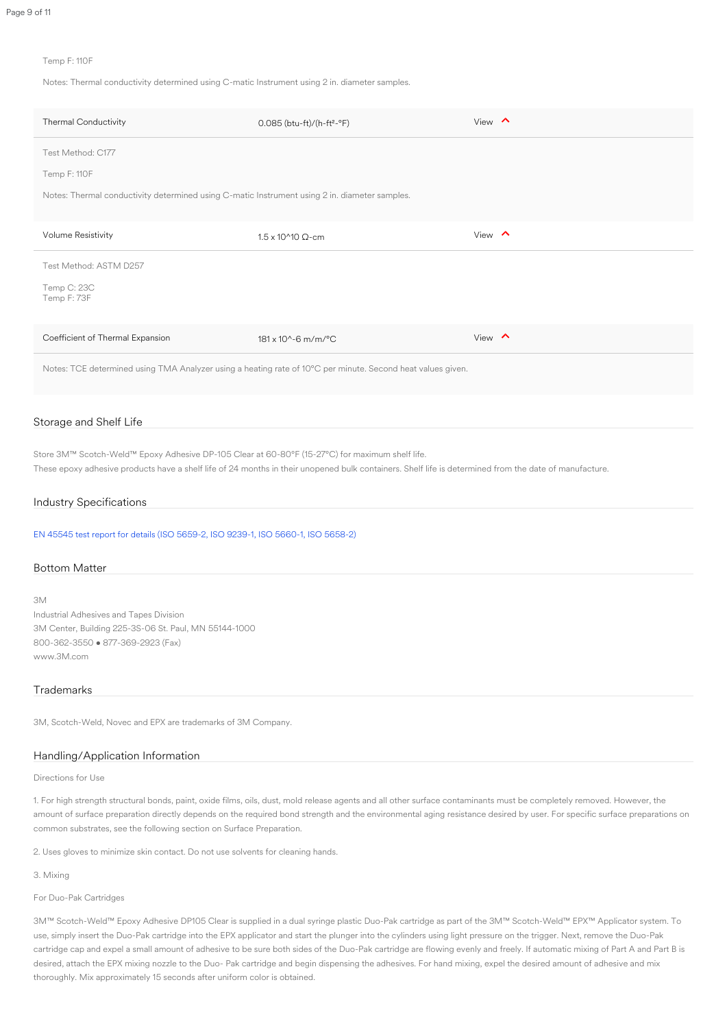#### Temp F: 110F

Notes: Thermal conductivity determined using C-matic Instrument using 2 in. diameter samples.

| <b>Thermal Conductivity</b>                                                                                 | $0.085$ (btu-ft)/(h-ft <sup>2</sup> -°F) | View $\land$ |  |  |
|-------------------------------------------------------------------------------------------------------------|------------------------------------------|--------------|--|--|
| Test Method: C177                                                                                           |                                          |              |  |  |
| Temp F: 110F                                                                                                |                                          |              |  |  |
| Notes: Thermal conductivity determined using C-matic Instrument using 2 in. diameter samples.               |                                          |              |  |  |
| <b>Volume Resistivity</b>                                                                                   | $1.5 \times 10^{4}10 \Omega$ -cm         | View $\land$ |  |  |
| Test Method: ASTM D257                                                                                      |                                          |              |  |  |
| Temp C: 23C<br>Temp F: 73F                                                                                  |                                          |              |  |  |
| Coefficient of Thermal Expansion                                                                            | $181 \times 10^{(-6)}$ m/m/°C            | View $\land$ |  |  |
| Notes: TCE determined using TMA Analyzer using a heating rate of 10°C per minute. Second heat values given. |                                          |              |  |  |

#### Storage and Shelf Life

Store 3M™ Scotch-Weld™ Epoxy Adhesive DP-105 Clear at 60-80°F (15-27°C) for maximum shelf life.

These epoxy adhesive products have a shelf life of 24 months in their unopened bulk containers. Shelf life is determined from the date of manufacture.

#### Industry Specifications

[EN 45545 test report for details \(ISO 5659-2, ISO 9239-1, ISO 5660-1, ISO 5658-2\)](https://multimedia.3m.com/mws/media/1730957O/summary-dp-105-j387359-bd170831zbs-en-45545-2-2013a1-2015-annex-c.PDF)

#### Bottom Matter

#### 3M

Industrial Adhesives and Tapes Division 3M Center, Building 225-3S-06 St. Paul, MN 55144-1000 800-362-3550 • 877-369-2923 (Fax) www.3M.com

#### **Trademarks**

3M, Scotch-Weld, Novec and EPX are trademarks of 3M Company.

#### Handling/Application Information

Directions for Use

1. For high strength structural bonds, paint, oxide films, oils, dust, mold release agents and all other surface contaminants must be completely removed. However, the amount of surface preparation directly depends on the required bond strength and the environmental aging resistance desired by user. For specific surface preparations on common substrates, see the following section on Surface Preparation.

2. Uses gloves to minimize skin contact. Do not use solvents for cleaning hands.

3. Mixing

#### For Duo-Pak Cartridges

3M™ Scotch-Weld™ Epoxy Adhesive DP105 Clear is supplied in a dual syringe plastic Duo-Pak cartridge as part of the 3M™ Scotch-Weld™ EPX™ Applicator system. To use, simply insert the Duo-Pak cartridge into the EPX applicator and start the plunger into the cylinders using light pressure on the trigger. Next, remove the Duo-Pak cartridge cap and expel a small amount of adhesive to be sure both sides of the Duo-Pak cartridge are flowing evenly and freely. If automatic mixing of Part A and Part B is desired, attach the EPX mixing nozzle to the Duo- Pak cartridge and begin dispensing the adhesives. For hand mixing, expel the desired amount of adhesive and mix thoroughly. Mix approximately 15 seconds after uniform color is obtained.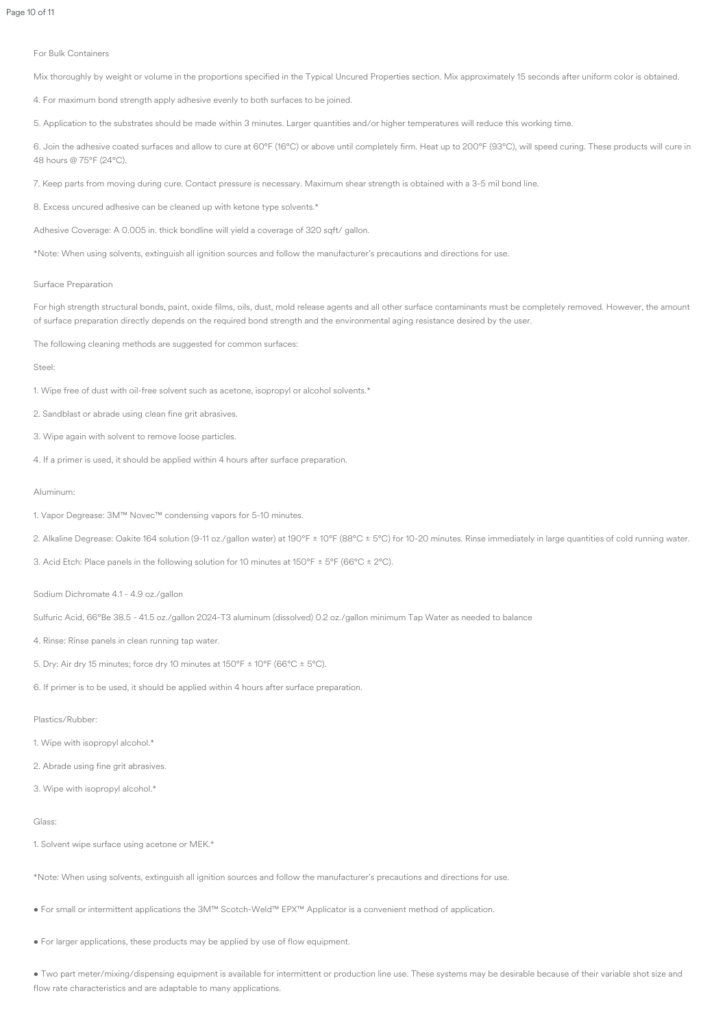For Bulk Containers

Mix thoroughly by weight or volume in the proportions specified in the Typical Uncured Properties section. Mix approximately 15 seconds after uniform color is obtained.

4. For maximum bond strength apply adhesive evenly to both surfaces to be joined.

5. Application to the substrates should be made within 3 minutes. Larger quantities and/or higher temperatures will reduce this working time.

6. Join the adhesive coated surfaces and allow to cure at 60°F (16°C) or above until completely firm. Heat up to 200°F (93°C), will speed curing. These products will cure in 48 hours @ 75°F (24°C).

For high strength structural bonds, paint, oxide films, oils, dust, mold release agents and all other surface contaminants must be completely removed. However, the amount of surface preparation directly depends on the required bond strength and the environmental aging resistance desired by the user.

7. Keep parts from moving during cure. Contact pressure is necessary. Maximum shear strength is obtained with a 3-5 mil bond line.

8. Excess uncured adhesive can be cleaned up with ketone type solvents.\*

Adhesive Coverage: A 0.005 in. thick bondline will yield a coverage of 320 sqft/ gallon.

\*Note: When using solvents, extinguish all ignition sources and follow the manufacturer's precautions and directions for use.

#### Surface Preparation

The following cleaning methods are suggested for common surfaces:

Steel:

1. Wipe free of dust with oil-free solvent such as acetone, isopropyl or alcohol solvents.\*

2. Sandblast or abrade using clean fine grit abrasives.

3. Wipe again with solvent to remove loose particles.

4. If a primer is used, it should be applied within 4 hours after surface preparation.

#### Aluminum:

1. Vapor Degrease: 3M™ Novec™ condensing vapors for 5-10 minutes.

2. Alkaline Degrease: Oakite 164 solution (9-11 oz./gallon water) at 190°F ± 10°F (88°C ± 5°C) for 10-20 minutes. Rinse immediately in large quantities of cold running water.

3. Acid Etch: Place panels in the following solution for 10 minutes at 150°F ± 5°F (66°C ± 2°C).

Sodium Dichromate 4.1 - 4.9 oz./gallon

Sulfuric Acid, 66°Be 38.5 - 41.5 oz./gallon 2024-T3 aluminum (dissolved) 0.2 oz./gallon minimum Tap Water as needed to balance

4. Rinse: Rinse panels in clean running tap water.

5. Dry: Air dry 15 minutes; force dry 10 minutes at  $150^{\circ}F \pm 10^{\circ}F$  (66 $^{\circ}C \pm 5^{\circ}C$ ).

6. If primer is to be used, it should be applied within 4 hours after surface preparation.

Plastics/Rubber:

1. Wipe with isopropyl alcohol.\*

2. Abrade using fine grit abrasives.

3. Wipe with isopropyl alcohol.\*

Glass:

1. Solvent wipe surface using acetone or MEK.\*

\*Note: When using solvents, extinguish all ignition sources and follow the manufacturer's precautions and directions for use.

• For small or intermittent applications the 3M™ Scotch-Weld™ EPX™ Applicator is a convenient method of application.

• For larger applications, these products may be applied by use of flow equipment.

• Two part meter/mixing/dispensing equipment is available for intermittent or production line use. These systems may be desirable because of their variable shot size and flow rate characteristics and are adaptable to many applications.

Page 10 of 11